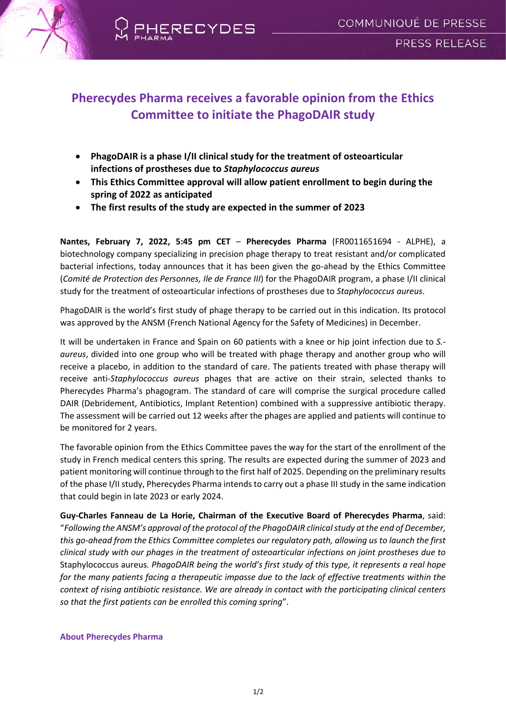

## **Pherecydes Pharma receives a favorable opinion from the Ethics Committee to initiate the PhagoDAIR study**

- **PhagoDAIR is a phase I/II clinical study for the treatment of osteoarticular infections of prostheses due to** *Staphylococcus aureus*
- **This Ethics Committee approval will allow patient enrollment to begin during the spring of 2022 as anticipated**
- **The first results of the study are expected in the summer of 2023**

**Nantes, February 7, 2022, 5:45 pm CET** – **Pherecydes Pharma** (FR0011651694 - ALPHE), a biotechnology company specializing in precision phage therapy to treat resistant and/or complicated bacterial infections, today announces that it has been given the go-ahead by the Ethics Committee (*Comité de Protection des Personnes, Ile de France III*) for the PhagoDAIR program, a phase I/II clinical study for the treatment of osteoarticular infections of prostheses due to *Staphylococcus aureus*.

PhagoDAIR is the world's first study of phage therapy to be carried out in this indication. Its protocol was approved by the ANSM (French National Agency for the Safety of Medicines) in December.

It will be undertaken in France and Spain on 60 patients with a knee or hip joint infection due to *S. aureus*, divided into one group who will be treated with phage therapy and another group who will receive a placebo, in addition to the standard of care. The patients treated with phase therapy will receive anti-*Staphylococcus aureus* phages that are active on their strain, selected thanks to Pherecydes Pharma's phagogram. The standard of care will comprise the surgical procedure called DAIR (Debridement, Antibiotics, Implant Retention) combined with a suppressive antibiotic therapy. The assessment will be carried out 12 weeks after the phages are applied and patients will continue to be monitored for 2 years.

The favorable opinion from the Ethics Committee paves the way for the start of the enrollment of the study in French medical centers this spring. The results are expected during the summer of 2023 and patient monitoring will continue through to the first half of 2025. Depending on the preliminary results of the phase I/II study, Pherecydes Pharma intends to carry out a phase III study in the same indication that could begin in late 2023 or early 2024.

**Guy-Charles Fanneau de La Horie, Chairman of the Executive Board of Pherecydes Pharma**, said: "*Following the ANSM's approval of the protocol of the PhagoDAIR clinical study at the end of December, this go-ahead from the Ethics Committee completes our regulatory path, allowing us to launch the first clinical study with our phages in the treatment of osteoarticular infections on joint prostheses due to* Staphylococcus aureus*. PhagoDAIR being the world's first study of this type, it represents a real hope for the many patients facing a therapeutic impasse due to the lack of effective treatments within the context of rising antibiotic resistance. We are already in contact with the participating clinical centers so that the first patients can be enrolled this coming spring*".

## **About Pherecydes Pharma**